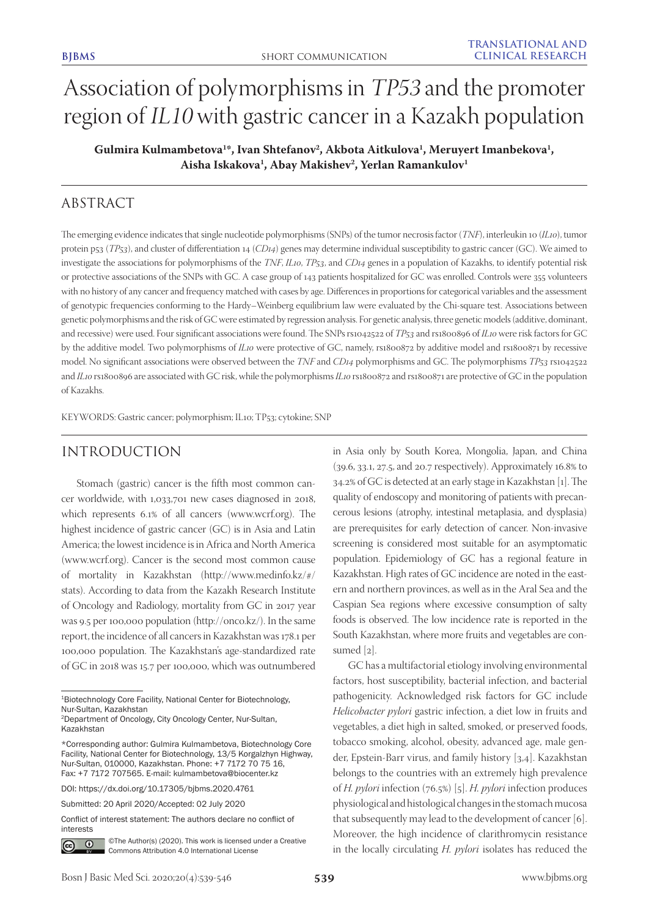# Association of polymorphisms in TP53 and the promoter region of IL10 with gastric cancer in a Kazakh population

Gulmira Kulmambetova<sup>1\*</sup>, Ivan Shtefanov<sup>2</sup>, Akbota Aitkulova<sup>1</sup>, Meruyert Imanbekova<sup>1</sup>, **Aisha Iskakova1 , Abay Makishev2 , Yerlan Ramankulov1**

# ABSTRACT

The emerging evidence indicates that single nucleotide polymorphisms (SNPs) of the tumor necrosis factor (*TNF*), interleukin 10 (*IL10*), tumor protein p53 (*TP53*), and cluster of differentiation 14 (*CD14*) genes may determine individual susceptibility to gastric cancer (GC). We aimed to investigate the associations for polymorphisms of the *TNF*, *IL10*, *TP53*, and *CD14* genes in a population of Kazakhs, to identify potential risk or protective associations of the SNPs with GC. A case group of 143 patients hospitalized for GC was enrolled. Controls were 355 volunteers with no history of any cancer and frequency matched with cases by age. Differences in proportions for categorical variables and the assessment of genotypic frequencies conforming to the Hardy–Weinberg equilibrium law were evaluated by the Chi-square test. Associations between genetic polymorphisms and the risk of GC were estimated by regression analysis. For genetic analysis, three genetic models (additive, dominant, and recessive) were used. Four significant associations were found. The SNPs rs1042522 of *TP53* and rs1800896 of *IL10* were risk factors for GC by the additive model. Two polymorphisms of *IL10* were protective of GC, namely, rs1800872 by additive model and rs1800871 by recessive model. No significant associations were observed between the *TNF* and *CD14* polymorphisms and GC. The polymorphisms *TP53* rs1042522 and *IL10* rs1800896 are associated with GC risk, while the polymorphisms *IL10* rs1800872 and rs1800871 are protective of GC in the population of Kazakhs.

KEYWORDS: Gastric cancer; polymorphism; IL10; TP53; cytokine; SNP

## INTRODUCTION

Stomach (gastric) cancer is the fifth most common cancer worldwide, with 1,033,701 new cases diagnosed in 2018, which represents 6.1% of all cancers (www.wcrf.org). The highest incidence of gastric cancer (GC) is in Asia and Latin America; the lowest incidence is in Africa and North America (www.wcrf.org). Cancer is the second most common cause of mortality in Kazakhstan (http://www.medinfo.kz/#/ stats). According to data from the Kazakh Research Institute of Oncology and Radiology, mortality from GC in 2017 year was 9.5 per 100,000 population (http://onco.kz/). In the same report, the incidence of all cancers in Kazakhstan was 178.1 per 100,000 population. The Kazakhstan's age-standardized rate of GC in 2018 was 15.7 per 100,000, which was outnumbered

DOI: https://dx.doi.org/10.17305/bjbms.2020.4761

Submitted: 20 April 2020/Accepted: 02 July 2020

Conflict of interest statement: The authors declare no conflict of interests



©The Author(s) (2020). This work is licensed under a Creative Commons Attribution 4.0 International License

in Asia only by South Korea, Mongolia, Japan, and China (39.6, 33.1, 27.5, and 20.7 respectively). Approximately 16.8% to 34.2% of GC is detected at an early stage in Kazakhstan [1]. The quality of endoscopy and monitoring of patients with precancerous lesions (atrophy, intestinal metaplasia, and dysplasia) are prerequisites for early detection of cancer. Non-invasive screening is considered most suitable for an asymptomatic population. Epidemiology of GC has a regional feature in Kazakhstan. High rates of GC incidence are noted in the eastern and northern provinces, as well as in the Aral Sea and the Caspian Sea regions where excessive consumption of salty foods is observed. The low incidence rate is reported in the South Kazakhstan, where more fruits and vegetables are consumed [2].

GC has a multifactorial etiology involving environmental factors, host susceptibility, bacterial infection, and bacterial pathogenicity. Acknowledged risk factors for GC include *Helicobacter pylori* gastric infection, a diet low in fruits and vegetables, a diet high in salted, smoked, or preserved foods, tobacco smoking, alcohol, obesity, advanced age, male gender, Epstein-Barr virus, and family history [3,4]. Kazakhstan belongs to the countries with an extremely high prevalence of *H. pylori* infection (76.5%) [5]. *H. pylori* infection produces physiological and histological changes in the stomach mucosa that subsequently may lead to the development of cancer [6]. Moreover, the high incidence of clarithromycin resistance in the locally circulating *H. pylori* isolates has reduced the

<sup>1</sup>Biotechnology Core Facility, National Center for Biotechnology, Nur-Sultan, Kazakhstan

<sup>2</sup>Department of Oncology, City Oncology Center, Nur-Sultan, Kazakhstan

<sup>\*</sup>Corresponding author: Gulmira Kulmambetova, Biotechnology Core Facility, National Center for Biotechnology, 13/5 Korgalzhyn Highway, Nur-Sultan, 010000, Kazakhstan. Phone: +7 7172 70 75 16, Fax: +7 7172 707565. E-mail: kulmambetova@biocenter.kz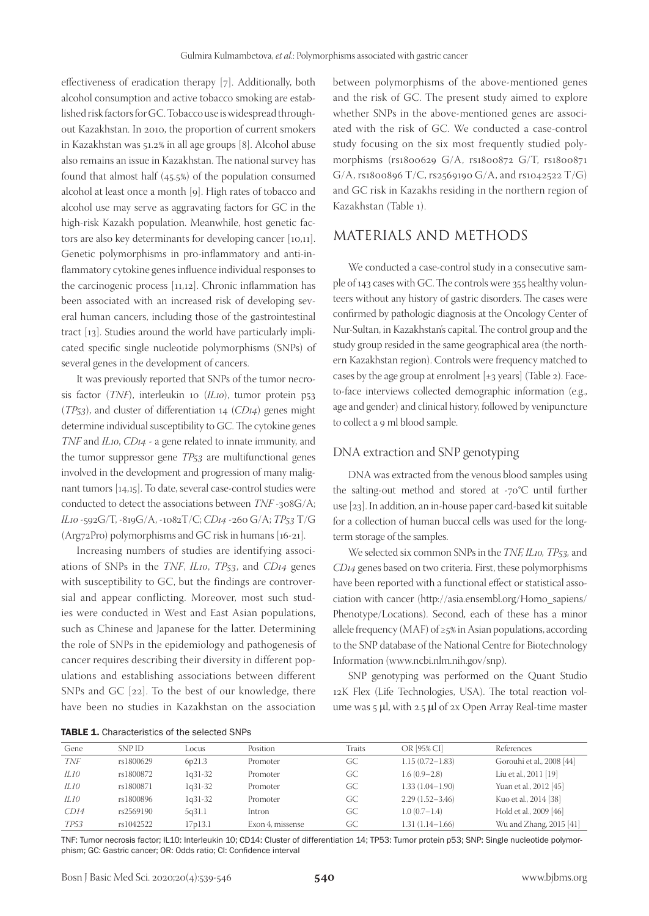effectiveness of eradication therapy [7]. Additionally, both alcohol consumption and active tobacco smoking are established risk factors for GC. Tobacco use is widespread throughout Kazakhstan. In 2010, the proportion of current smokers in Kazakhstan was 51.2% in all age groups [8]. Alcohol abuse also remains an issue in Kazakhstan. The national survey has found that almost half (45.5%) of the population consumed alcohol at least once a month [9]. High rates of tobacco and alcohol use may serve as aggravating factors for GC in the high-risk Kazakh population. Meanwhile, host genetic factors are also key determinants for developing cancer [10,11]. Genetic polymorphisms in pro-inflammatory and anti-inflammatory cytokine genes influence individual responses to the carcinogenic process [11,12]. Chronic inflammation has been associated with an increased risk of developing several human cancers, including those of the gastrointestinal tract [13]. Studies around the world have particularly implicated specific single nucleotide polymorphisms (SNPs) of several genes in the development of cancers.

It was previously reported that SNPs of the tumor necrosis factor (*TNF*), interleukin 10 (*IL10*), tumor protein p53 (*TP53*), and cluster of differentiation 14 (*CD14*) genes might determine individual susceptibility to GC. The cytokine genes *TNF* and *IL10*, *CD14* - a gene related to innate immunity, and the tumor suppressor gene *TP53* are multifunctional genes involved in the development and progression of many malignant tumors [14,15]. To date, several case-control studies were conducted to detect the associations between *TNF* -308G/A; *IL10* -592G/T, -819G/A, -1082T/C; *CD14* -260 G/A; *TP53* T/G (Arg72Pro) polymorphisms and GC risk in humans [16-21].

Increasing numbers of studies are identifying associations of SNPs in the *TNF*, *IL10*, *TP53*, and *CD14* genes with susceptibility to GC, but the findings are controversial and appear conflicting. Moreover, most such studies were conducted in West and East Asian populations, such as Chinese and Japanese for the latter. Determining the role of SNPs in the epidemiology and pathogenesis of cancer requires describing their diversity in different populations and establishing associations between different SNPs and GC [22]. To the best of our knowledge, there have been no studies in Kazakhstan on the association

between polymorphisms of the above-mentioned genes and the risk of GC. The present study aimed to explore whether SNPs in the above-mentioned genes are associated with the risk of GC. We conducted a case-control study focusing on the six most frequently studied polymorphisms (rs1800629 G/A, rs1800872 G/T, rs1800871 G/A, rs1800896 T/C, rs2569190 G/A, and rs1042522 T/G) and GC risk in Kazakhs residing in the northern region of Kazakhstan (Table 1).

# MATERIALS AND METHODS

We conducted a case-control study in a consecutive sample of 143 cases with GC. The controls were 355 healthy volunteers without any history of gastric disorders. The cases were confirmed by pathologic diagnosis at the Oncology Center of Nur-Sultan, in Kazakhstan's capital. The control group and the study group resided in the same geographical area (the northern Kazakhstan region). Controls were frequency matched to cases by the age group at enrolment  $[\pm 3 \text{ years}]$  (Table 2). Faceto-face interviews collected demographic information (e.g., age and gender) and clinical history, followed by venipuncture to collect a 9 ml blood sample.

## DNA extraction and SNP genotyping

DNA was extracted from the venous blood samples using the salting-out method and stored at -70°C until further use [23]. In addition, an in-house paper card-based kit suitable for a collection of human buccal cells was used for the longterm storage of the samples.

We selected six common SNPs in the *TNF, IL10, TP53,* and *CD14* genes based on two criteria. First, these polymorphisms have been reported with a functional effect or statistical association with cancer (http://asia.ensembl.org/Homo\_sapiens/ Phenotype/Locations). Second, each of these has a minor allele frequency (MAF) of  $\geq$ 5% in Asian populations, according to the SNP database of the National Centre for Biotechnology Information (www.ncbi.nlm.nih.gov/snp).

SNP genotyping was performed on the Quant Studio 12K Flex (Life Technologies, USA). The total reaction volume was 5 µl, with 2.5 µl of 2x Open Array Real-time master

| <b>TABLE 1.</b> Characteristics of the selected SNPs |
|------------------------------------------------------|
|------------------------------------------------------|

| Gene        | <b>SNP ID</b> | Locus     | Position         | Traits | OR [95% CI]         | References                |
|-------------|---------------|-----------|------------------|--------|---------------------|---------------------------|
| TNF         | rs1800629     | 6p21.3    | Promoter         | GC     | $1.15(0.72 - 1.83)$ | Gorouhi et al., 2008 [44] |
| IL10        | rs1800872     | $1q31-32$ | Promoter         | GC.    | $1.6(0.9-2.8)$      | Liu et al., 2011 [19]     |
| IL10        | rs1800871     | 1q31-32   | Promoter         | GC.    | $1.33(1.04 - 1.90)$ | Yuan et al., 2012 [45]    |
| <i>IL10</i> | rs1800896     | 1q31-32   | Promoter         | GC     | $2.29(1.52 - 3.46)$ | Kuo et al., 2014 [38]     |
| CD14        | rs2569190     | 5q31.1    | Intron           | GC     | $1.0(0.7-1.4)$      | Hold et al., 2009 [46]    |
| <i>TP53</i> | rs1042522     | 17p13.1   | Exon 4. missense | GC     | 1.31 (1.14–1.66)    | Wu and Zhang, 2015 [41]   |

TNF: Tumor necrosis factor; IL10: Interleukin 10; CD14: Cluster of differentiation 14; TP53: Tumor protein p53; SNP: Single nucleotide polymorphism; GC: Gastric cancer; OR: Odds ratio; CI: Confidence interval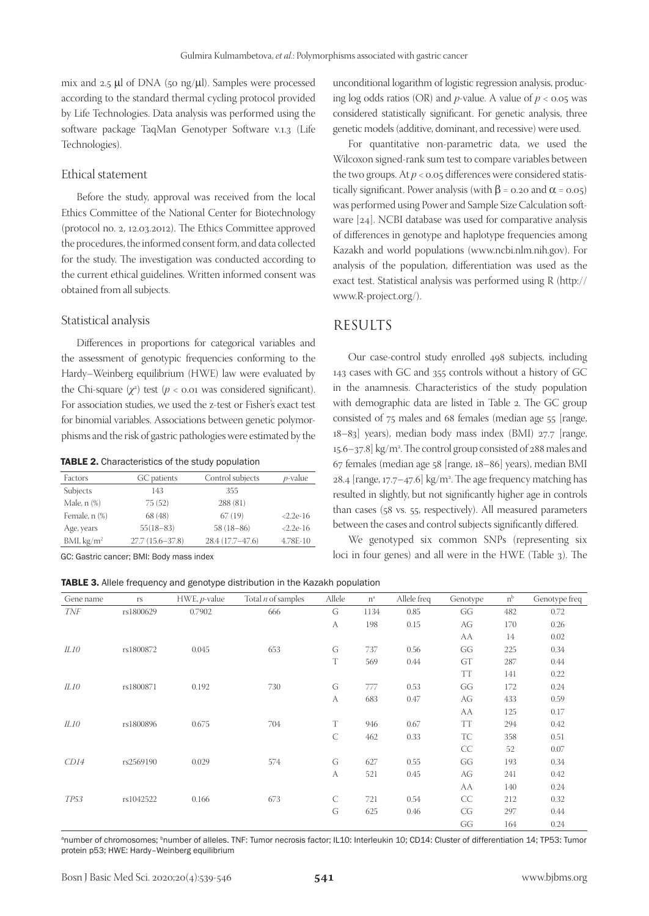mix and 2.5 µl of DNA (50 ng/µl). Samples were processed according to the standard thermal cycling protocol provided by Life Technologies. Data analysis was performed using the software package TaqMan Genotyper Software v.1.3 (Life Technologies).

## Ethical statement

Before the study, approval was received from the local Ethics Committee of the National Center for Biotechnology (protocol no. 2, 12.03.2012). The Ethics Committee approved the procedures, the informed consent form, and data collected for the study. The investigation was conducted according to the current ethical guidelines. Written informed consent was obtained from all subjects.

### Statistical analysis

Differences in proportions for categorical variables and the assessment of genotypic frequencies conforming to the Hardy–Weinberg equilibrium (HWE) law were evaluated by the Chi-square  $(\chi^2)$  test  $(p < 0.01$  was considered significant). For association studies, we used the z-test or Fisher's exact test for binomial variables. Associations between genetic polymorphisms and the risk of gastric pathologies were estimated by the

| TABLE 2. Characteristics of the study population |  |
|--------------------------------------------------|--|
|--------------------------------------------------|--|

| Factors                | GC patients         | Control subjects  | $p$ -value |
|------------------------|---------------------|-------------------|------------|
| Subjects               | 143                 | 355               |            |
| Male, n (%)            | 75(52)              | 288 (81)          |            |
| Female, n (%)          | 68 (48)             | 67(19)            | $2.2e-16$  |
| Age, years             | $55(18-83)$         | $58(18-86)$       | $2.2e-16$  |
| BMI, kg/m <sup>2</sup> | $27.7(15.6 - 37.8)$ | $28.4(17.7-47.6)$ | 4.78E-10   |

GC: Gastric cancer; BMI: Body mass index

TABLE 3. Allele frequency and genotype distribution in the Kazakh population

unconditional logarithm of logistic regression analysis, producing log odds ratios (OR) and  $p$ -value. A value of  $p < 0.05$  was considered statistically significant. For genetic analysis, three genetic models (additive, dominant, and recessive) were used.

For quantitative non-parametric data, we used the Wilcoxon signed-rank sum test to compare variables between the two groups. At *p* < 0.05 differences were considered statistically significant. Power analysis (with  $\beta$  = 0.20 and  $\alpha$  = 0.05) was performed using Power and Sample Size Calculation software [24]. NCBI database was used for comparative analysis of differences in genotype and haplotype frequencies among Kazakh and world populations (www.ncbi.nlm.nih.gov). For analysis of the population, differentiation was used as the exact test. Statistical analysis was performed using R (http:// www.R-project.org/).

# RESULTS

Our case-control study enrolled 498 subjects, including 143 cases with GC and 355 controls without a history of GC in the anamnesis. Characteristics of the study population with demographic data are listed in Table 2. The GC group consisted of 75 males and 68 females (median age 55 [range, 18–83] years), median body mass index (BMI) 27.7 [range, 15.6–37.8] kg/m2 . The control group consisted of 288 males and 67 females (median age 58 [range, 18–86] years), median BMI  $28.4$  [range, 17.7–47.6] kg/m<sup>2</sup>. The age frequency matching has resulted in slightly, but not significantly higher age in controls than cases (58 vs. 55, respectively). All measured parameters between the cases and control subjects significantly differed.

We genotyped six common SNPs (representing six loci in four genes) and all were in the HWE (Table 3). The

| Gene name   | $\Gamma S$ | $HWE, p-value$ | Total $n$ of samples | Allele       | $n^a$ | Allele freq | Genotype  | n <sup>b</sup> | Genotype freq |
|-------------|------------|----------------|----------------------|--------------|-------|-------------|-----------|----------------|---------------|
| <b>TNF</b>  | rs1800629  | 0.7902         | 666                  | G            | 1134  | 0.85        | GG        | 482            | 0.72          |
|             |            |                |                      | А            | 198   | 0.15        | AG        | 170            | 0.26          |
|             |            |                |                      |              |       |             | AA        | 14             | 0.02          |
| ILIO        | rs1800872  | 0.045          | 653                  | G            | 737   | 0.56        | GG        | 225            | 0.34          |
|             |            |                |                      | $\mathbf T$  | 569   | 0.44        | GT        | 287            | 0.44          |
|             |            |                |                      |              |       |             | TT        | 141            | 0.22          |
| ILIO        | rs1800871  | 0.192          | 730                  | G            | 777   | 0.53        | GG        | 172            | 0.24          |
|             |            |                |                      | A            | 683   | 0.47        | AG        | 433            | 0.59          |
|             |            |                |                      |              |       |             | AA        | 125            | 0.17          |
| IL10        | rs1800896  | 0.675          | 704                  | T            | 946   | 0.67        | <b>TT</b> | 294            | 0.42          |
|             |            |                |                      | $\mathsf{C}$ | 462   | 0.33        | <b>TC</b> | 358            | 0.51          |
|             |            |                |                      |              |       |             | CC        | 52             | 0.07          |
| CD14        | rs2569190  | 0.029          | 574                  | G            | 627   | 0.55        | GG        | 193            | 0.34          |
|             |            |                |                      | A            | 521   | 0.45        | AG        | 241            | 0.42          |
|             |            |                |                      |              |       |             | AA        | 140            | 0.24          |
| <b>TP53</b> | rs1042522  | 0.166          | 673                  | $\cal C$     | 721   | 0.54        | CC        | 212            | 0.32          |
|             |            |                |                      | G            | 625   | 0.46        | CG        | 297            | 0.44          |
|             |            |                |                      |              |       |             | GG        | 164            | 0.24          |

a number of chromosomes; <sup>b</sup> number of alleles. TNF: Tumor necrosis factor; IL10: Interleukin 10; CD14: Cluster of differentiation 14; TP53: Tumor protein p53; HWE: Hardy–Weinberg equilibrium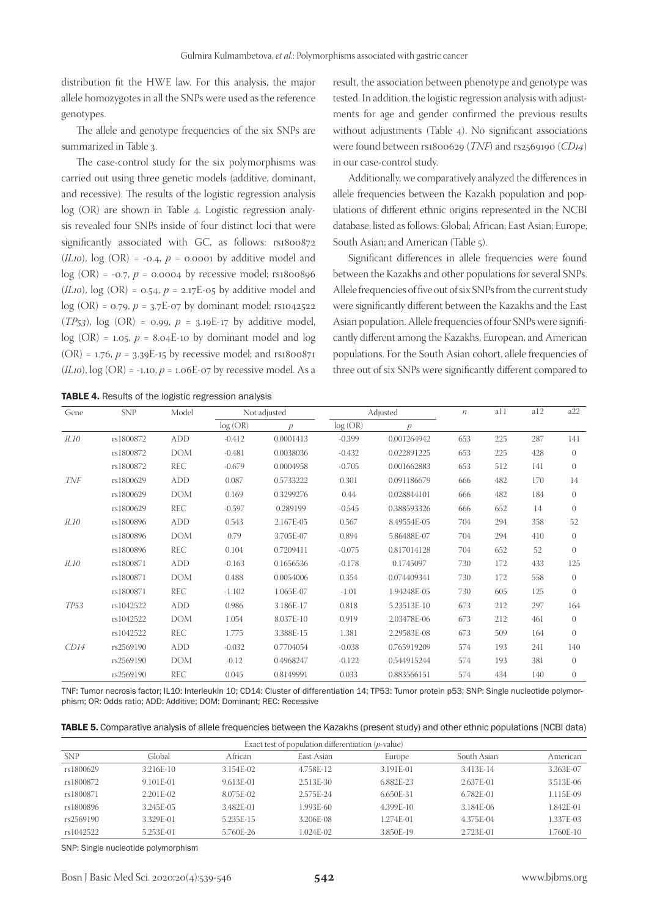distribution fit the HWE law. For this analysis, the major allele homozygotes in all the SNPs were used as the reference genotypes.

The allele and genotype frequencies of the six SNPs are summarized in Table 3.

The case-control study for the six polymorphisms was carried out using three genetic models (additive, dominant, and recessive). The results of the logistic regression analysis log (OR) are shown in Table 4. Logistic regression analysis revealed four SNPs inside of four distinct loci that were significantly associated with GC, as follows: rs1800872  $(IL10)$ ,  $log (OR) = -0.4$ ,  $p = 0.0001$  by additive model and  $log (OR) = -0.7$ ,  $p = 0.0004$  by recessive model; rs1800896 (*IL10*),  $log$  (OR) = 0.54,  $p = 2.17E-05$  by additive model and  $log (OR) = 0.79, p = 3.7E-07$  by dominant model; rs1042522 (*TP*<sub>53</sub>),  $log$  (OR) = 0.99,  $p = 3.19E-17$  by additive model, log (OR) = 1.05,  $p = 8.04E$ -10 by dominant model and log  $(OR) = 1.76$ ,  $p = 3.39E-15$  by recessive model; and rs1800871  $(L10)$ ,  $log (OR) = -1.10$ ,  $p = 1.06E-07$  by recessive model. As a result, the association between phenotype and genotype was tested. In addition, the logistic regression analysis with adjustments for age and gender confirmed the previous results without adjustments (Table 4). No significant associations were found between rs1800629 (*TNF*) and rs2569190 (*CD14*) in our case-control study.

Additionally, we comparatively analyzed the differences in allele frequencies between the Kazakh population and populations of different ethnic origins represented in the NCBI database, listed as follows: Global; African; East Asian; Europe; South Asian; and American (Table 5).

Significant differences in allele frequencies were found between the Kazakhs and other populations for several SNPs. Allele frequencies of five out of six SNPs from the current study were significantly different between the Kazakhs and the East Asian population. Allele frequencies of four SNPs were significantly different among the Kazakhs, European, and American populations. For the South Asian cohort, allele frequencies of three out of six SNPs were significantly different compared to

TABLE 4. Results of the logistic regression analysis

| Gene        | <b>SNP</b> | Model      |          | Not adjusted     |          | Adjusted      | $\mathfrak n$ | a11 | a12 | a22          |
|-------------|------------|------------|----------|------------------|----------|---------------|---------------|-----|-----|--------------|
|             |            |            | log(OR)  | $\boldsymbol{v}$ | log(OR)  | $\mathcal{D}$ |               |     |     |              |
| <i>IL10</i> | rs1800872  | <b>ADD</b> | $-0.412$ | 0.0001413        | $-0.399$ | 0.001264942   | 653           | 225 | 287 | 141          |
|             | rs1800872  | <b>DOM</b> | $-0.481$ | 0.0038036        | $-0.432$ | 0.022891225   | 653           | 225 | 428 | $\theta$     |
|             | rs1800872  | REC        | $-0.679$ | 0.0004958        | $-0.705$ | 0.001662883   | 653           | 512 | 141 | $\Omega$     |
| <b>TNF</b>  | rs1800629  | <b>ADD</b> | 0.087    | 0.5733222        | 0.301    | 0.091186679   | 666           | 482 | 170 | 14           |
|             | rs1800629  | <b>DOM</b> | 0.169    | 0.3299276        | 0.44     | 0.028844101   | 666           | 482 | 184 | $\Omega$     |
|             | rs1800629  | REC        | $-0.597$ | 0.289199         | $-0.545$ | 0.388593326   | 666           | 652 | 14  | $\Omega$     |
| ILI0        | rs1800896  | <b>ADD</b> | 0.543    | 2.167E-05        | 0.567    | 8.49554E-05   | 704           | 294 | 358 | 52           |
|             | rs1800896  | <b>DOM</b> | 0.79     | 3.705E-07        | 0.894    | 5.86488E-07   | 704           | 294 | 410 | $\Omega$     |
|             | rs1800896  | <b>REC</b> | 0.104    | 0.7209411        | $-0.075$ | 0.817014128   | 704           | 652 | 52  | $\Omega$     |
| ILI0        | rs1800871  | <b>ADD</b> | $-0.163$ | 0.1656536        | $-0.178$ | 0.1745097     | 730           | 172 | 433 | 125          |
|             | rs1800871  | <b>DOM</b> | 0.488    | 0.0054006        | 0.354    | 0.074409341   | 730           | 172 | 558 | $\Omega$     |
|             | rs1800871  | REC        | $-1.102$ | 1.065E-07        | $-1.01$  | 1.94248E-05   | 730           | 605 | 125 | $\Omega$     |
| <b>TP53</b> | rs1042522  | <b>ADD</b> | 0.986    | 3.186E-17        | 0.818    | 5.23513E-10   | 673           | 212 | 297 | 164          |
|             | rs1042522  | <b>DOM</b> | 1.054    | 8.037E-10        | 0.919    | 2.03478E-06   | 673           | 212 | 461 | $\Omega$     |
|             | rs1042522  | <b>REC</b> | 1.775    | 3.388E-15        | 1.381    | 2.29583E-08   | 673           | 509 | 164 | $\Omega$     |
| CD14        | rs2569190  | <b>ADD</b> | $-0.032$ | 0.7704054        | $-0.038$ | 0.765919209   | 574           | 193 | 241 | 140          |
|             | rs2569190  | <b>DOM</b> | $-0.12$  | 0.4968247        | $-0.122$ | 0.544915244   | 574           | 193 | 381 | $\Omega$     |
|             | rs2569190  | <b>REC</b> | 0.045    | 0.8149991        | 0.033    | 0.883566151   | 574           | 434 | 140 | $\mathbf{0}$ |

TNF: Tumor necrosis factor; IL10: Interleukin 10; CD14: Cluster of differentiation 14; TP53: Tumor protein p53; SNP: Single nucleotide polymorphism; OR: Odds ratio; ADD: Additive; DOM: Dominant; REC: Recessive

| <b>TABLE 5.</b> Comparative analysis of allele frequencies between the Kazakhs (present study) and other ethnic populations (NCBI data) |  |  |  |  |  |
|-----------------------------------------------------------------------------------------------------------------------------------------|--|--|--|--|--|
|-----------------------------------------------------------------------------------------------------------------------------------------|--|--|--|--|--|

| Exact test of population differentiation $(p$ -value) |             |           |            |           |             |           |  |  |
|-------------------------------------------------------|-------------|-----------|------------|-----------|-------------|-----------|--|--|
| <b>SNP</b>                                            | Global      | African   | East Asian | Europe    | South Asian | American  |  |  |
| rs1800629                                             | 3.216E-10   | 3.154E-02 | 4.758E-12  | 3.191E-01 | 3.413E-14   | 3.363E-07 |  |  |
| rs1800872                                             | 9.101E-01   | 9.613E-01 | 2.513E-30  | 6.882F-23 | 2.637E-01   | 3.513E-06 |  |  |
| rs1800871                                             | $2.201E-02$ | 8.075E-02 | 2.575E-24  | 6.650E-31 | 6.782E-01   | 1.115E-09 |  |  |
| rs1800896                                             | 3.245E-05   | 3.482F-01 | L993E-60   | 4.399E-10 | 3.184E-06   | 1.842E-01 |  |  |
| rs2569190                                             | 3.329E-01   | 5.235E-15 | 3.206E-08  | 1.274E-01 | 4.375E-04   | 1.337E-03 |  |  |
| rs1042522                                             | 5.253E-01   | 5.760E-26 | 1.024E-02  | 3.850E-19 | 2.723E-01   | 1.760E-10 |  |  |

SNP: Single nucleotide polymorphism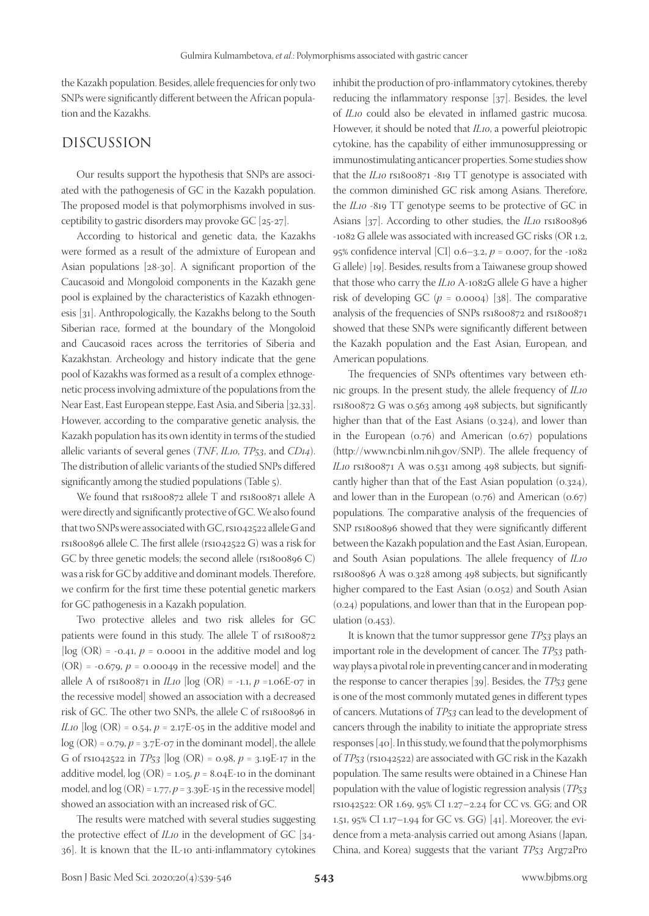the Kazakh population. Besides, allele frequencies for only two SNPs were significantly different between the African population and the Kazakhs.

# DISCUSSION

Our results support the hypothesis that SNPs are associated with the pathogenesis of GC in the Kazakh population. The proposed model is that polymorphisms involved in susceptibility to gastric disorders may provoke GC [25-27].

According to historical and genetic data, the Kazakhs were formed as a result of the admixture of European and Asian populations [28-30]. A significant proportion of the Caucasoid and Mongoloid components in the Kazakh gene pool is explained by the characteristics of Kazakh ethnogenesis [31]. Anthropologically, the Kazakhs belong to the South Siberian race, formed at the boundary of the Mongoloid and Caucasoid races across the territories of Siberia and Kazakhstan. Archeology and history indicate that the gene pool of Kazakhs was formed as a result of a complex ethnogenetic process involving admixture of the populations from the Near East, East European steppe, East Asia, and Siberia [32,33]. However, according to the comparative genetic analysis, the Kazakh population has its own identity in terms of the studied allelic variants of several genes (*TNF*, *IL10*, *TP53*, and *CD14*). The distribution of allelic variants of the studied SNPs differed significantly among the studied populations (Table 5).

We found that rs1800872 allele T and rs1800871 allele A were directly and significantly protective of GC. We also found that two SNPs were associated with GC, rs1042522 allele G and rs1800896 allele C. The first allele (rs1042522 G) was a risk for GC by three genetic models; the second allele (rs1800896 C) was a risk for GC by additive and dominant models. Therefore, we confirm for the first time these potential genetic markers for GC pathogenesis in a Kazakh population.

Two protective alleles and two risk alleles for GC patients were found in this study. The allele T of rs1800872 [ $log (OR) = -0.41$ ,  $p = 0.0001$  in the additive model and  $log$  $(OR) = -0.679$ ,  $p = 0.00049$  in the recessive model and the allele A of  $rs1800871$  in *IL10* [log (OR) = -1.1,  $p = 1.06E-07$  in the recessive model] showed an association with a decreased risk of GC. The other two SNPs, the allele C of rs1800896 in *IL10* [ $log (OR) = 0.54$ ,  $p = 2.17E-05$  in the additive model and  $log (OR) = 0.79, p = 3.7E-07$  in the dominant model], the allele G of rs1042522 in *TP53* [log (OR) = 0.98, *p* = 3.19E-17 in the additive model,  $log (OR) = 1.05$ ,  $p = 8.04E-10$  in the dominant model, and  $log (OR) = 1.77$ ,  $p = 3.39E-15$  in the recessive model] showed an association with an increased risk of GC.

The results were matched with several studies suggesting the protective effect of *IL10* in the development of GC [34- 36]. It is known that the IL-10 anti-inflammatory cytokines

inhibit the production of pro-inflammatory cytokines, thereby reducing the inflammatory response [37]. Besides, the level of *IL10* could also be elevated in inflamed gastric mucosa. However, it should be noted that *IL10*, a powerful pleiotropic cytokine, has the capability of either immunosuppressing or immunostimulating anticancer properties. Some studies show that the *IL10* rs1800871 -819 TT genotype is associated with the common diminished GC risk among Asians. Therefore, the *IL10* -819 TT genotype seems to be protective of GC in Asians [37]. According to other studies, the *IL10* rs1800896 -1082 G allele was associated with increased GC risks (OR 1.2, 95% confidence interval [CI] 0.6–3.2, *p* = 0.007, for the -1082 G allele) [19]. Besides, results from a Taiwanese group showed that those who carry the *IL10* A-1082G allele G have a higher risk of developing GC  $(p = 0.0004)$  [38]. The comparative analysis of the frequencies of SNPs rs1800872 and rs1800871 showed that these SNPs were significantly different between the Kazakh population and the East Asian, European, and American populations.

The frequencies of SNPs oftentimes vary between ethnic groups. In the present study, the allele frequency of *IL10* rs1800872 G was 0.563 among 498 subjects, but significantly higher than that of the East Asians (0.324), and lower than in the European  $(0.76)$  and American  $(0.67)$  populations (http://www.ncbi.nlm.nih.gov/SNP). The allele frequency of *IL10* rs1800871 A was 0.531 among 498 subjects, but significantly higher than that of the East Asian population (0.324), and lower than in the European (0.76) and American (0.67) populations. The comparative analysis of the frequencies of SNP rs1800896 showed that they were significantly different between the Kazakh population and the East Asian, European, and South Asian populations. The allele frequency of *IL10* rs1800896 A was 0.328 among 498 subjects, but significantly higher compared to the East Asian (0.052) and South Asian (0.24) populations, and lower than that in the European population (0.453).

It is known that the tumor suppressor gene *TP53* plays an important role in the development of cancer. The *TP53* pathway plays a pivotal role in preventing cancer and in moderating the response to cancer therapies [39]. Besides, the *TP53* gene is one of the most commonly mutated genes in different types of cancers. Mutations of *TP53* can lead to the development of cancers through the inability to initiate the appropriate stress responses [40]. In this study, we found that the polymorphisms of *TP53* (rs1042522) are associated with GC risk in the Kazakh population. The same results were obtained in a Chinese Han population with the value of logistic regression analysis (*TP53* rs1042522: OR 1.69, 95% CI 1.27–2.24 for CC vs. GG; and OR 1.51, 95% CI 1.17–1.94 for GC vs. GG) [41]. Moreover, the evidence from a meta-analysis carried out among Asians (Japan, China, and Korea) suggests that the variant *TP53* Arg72Pro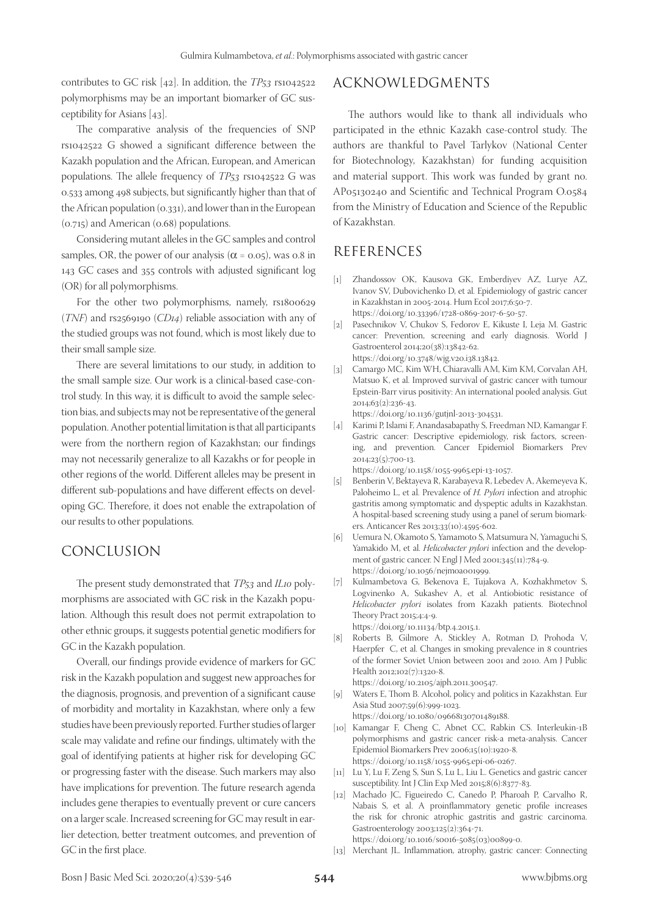contributes to GC risk [42]. In addition, the *TP53* rs1042522 polymorphisms may be an important biomarker of GC susceptibility for Asians [43].

The comparative analysis of the frequencies of SNP rs1042522 G showed a significant difference between the Kazakh population and the African, European, and American populations. The allele frequency of *TP53* rs1042522 G was 0.533 among 498 subjects, but significantly higher than that of the African population (0.331), and lower than in the European (0.715) and American (0.68) populations.

Considering mutant alleles in the GC samples and control samples, OR, the power of our analysis ( $\alpha$  = 0.05), was 0.8 in 143 GC cases and 355 controls with adjusted significant log (OR) for all polymorphisms.

For the other two polymorphisms, namely, rs1800629 (*TNF*) and rs2569190 (*CD14*) reliable association with any of the studied groups was not found, which is most likely due to their small sample size.

There are several limitations to our study, in addition to the small sample size. Our work is a clinical-based case-control study. In this way, it is difficult to avoid the sample selection bias, and subjects may not be representative of the general population. Another potential limitation is that all participants were from the northern region of Kazakhstan; our findings may not necessarily generalize to all Kazakhs or for people in other regions of the world. Different alleles may be present in different sub-populations and have different effects on developing GC. Therefore, it does not enable the extrapolation of our results to other populations.

## CONCLUSION

The present study demonstrated that *TP53* and *IL10* polymorphisms are associated with GC risk in the Kazakh population. Although this result does not permit extrapolation to other ethnic groups, it suggests potential genetic modifiers for GC in the Kazakh population.

Overall, our findings provide evidence of markers for GC risk in the Kazakh population and suggest new approaches for the diagnosis, prognosis, and prevention of a significant cause of morbidity and mortality in Kazakhstan, where only a few studies have been previously reported. Further studies of larger scale may validate and refine our findings, ultimately with the goal of identifying patients at higher risk for developing GC or progressing faster with the disease. Such markers may also have implications for prevention. The future research agenda includes gene therapies to eventually prevent or cure cancers on a larger scale. Increased screening for GC may result in earlier detection, better treatment outcomes, and prevention of GC in the first place.

# ACKNOWLEDGMENTS

The authors would like to thank all individuals who participated in the ethnic Kazakh case-control study. The authors are thankful to Pavel Tarlykov (National Center for Biotechnology, Kazakhstan) for funding acquisition and material support. This work was funded by grant no. AP05130240 and Scientific and Technical Program О.0584 from the Ministry of Education and Science of the Republic of Kazakhstan.

## REFERENCES

- [1] Zhandossov OK, Kausova GK, Emberdiyev AZ, Lurye AZ, Ivanov SV, Dubovichenko D, et al. Epidemiology of gastric cancer in Kazakhstan in 2005-2014. Hum Ecol 2017;6:50-7. https://doi.org/10.33396/1728-0869-2017-6-50-57.
- [2] Pasechnikov V, Chukov S, Fedorov E, Kikuste I, Leja M. Gastric cancer: Prevention, screening and early diagnosis. World J Gastroenterol 2014;20(38):13842-62. https://doi.org/10.3748/wjg.v20.i38.13842.
- [3] Camargo MC, Kim WH, Chiaravalli AM, Kim KM, Corvalan AH, Matsuo K, et al. Improved survival of gastric cancer with tumour Epstein-Barr virus positivity: An international pooled analysis. Gut 2014;63(2):236-43.

https://doi.org/10.1136/gutjnl-2013-304531.

[4] Karimi P, Islami F, Anandasabapathy S, Freedman ND, Kamangar F. Gastric cancer: Descriptive epidemiology, risk factors, screening, and prevention. Cancer Epidemiol Biomarkers Prev 2014;23(5):700-13.

https://doi.org/10.1158/1055-9965.epi-13-1057.

- [5] Benberin V, Bektayeva R, Karabayeva R, Lebedev A, Akemeyeva K, Paloheimo L, et al. Prevalence of *H. Pylori* infection and atrophic gastritis among symptomatic and dyspeptic adults in Kazakhstan. A hospital-based screening study using a panel of serum biomarkers. Anticancer Res 2013;33(10):4595-602.
- [6] Uemura N, Okamoto S, Yamamoto S, Matsumura N, Yamaguchi S, Yamakido M, et al. *Helicobacter pylori* infection and the development of gastric cancer. N Engl J Med 2001;345(11):784-9. https://doi.org/10.1056/nejmoa001999.
- [7] Kulmambetova G, Bekenova E, Tujakova A, Kozhakhmetov S, Logvinenko A, Sukashev A, et al. Antiobiotic resistance of *Helicobacter pylori* isolates from Kazakh patients. Biotechnol Theory Pract 2015;4:4-9. https://doi.org/10.11134/btp.4.2015.1.
- [8] Roberts B, Gilmore A, Stickley A, Rotman D, Prohoda V, Haerpfer C, et al. Changes in smoking prevalence in 8 countries of the former Soviet Union between 2001 and 2010. Am J Public Health 2012;102(7):1320-8.

https://doi.org/10.2105/ajph.2011.300547.

- [9] Waters E, Thom B. Alcohol, policy and politics in Kazakhstan. Eur Asia Stud 2007;59(6):999-1023. https://doi.org/10.1080/09668130701489188.
- [10] Kamangar F, Cheng C, Abnet CC, Rabkin CS. Interleukin-1B polymorphisms and gastric cancer risk-a meta-analysis. Cancer Epidemiol Biomarkers Prev 2006;15(10):1920-8. https://doi.org/10.1158/1055-9965.epi-06-0267.
- [11] Lu Y, Lu F, Zeng S, Sun S, Lu L, Liu L. Genetics and gastric cancer susceptibility. Int J Clin Exp Med 2015;8(6):8377-83.
- [12] Machado JC, Figueiredo C, Canedo P, Pharoah P, Carvalho R, Nabais S, et al. A proinflammatory genetic profile increases the risk for chronic atrophic gastritis and gastric carcinoma. Gastroenterology 2003;125(2):364-71. https://doi.org/10.1016/s0016-5085(03)00899-0.
- [13] Merchant JL. Inflammation, atrophy, gastric cancer: Connecting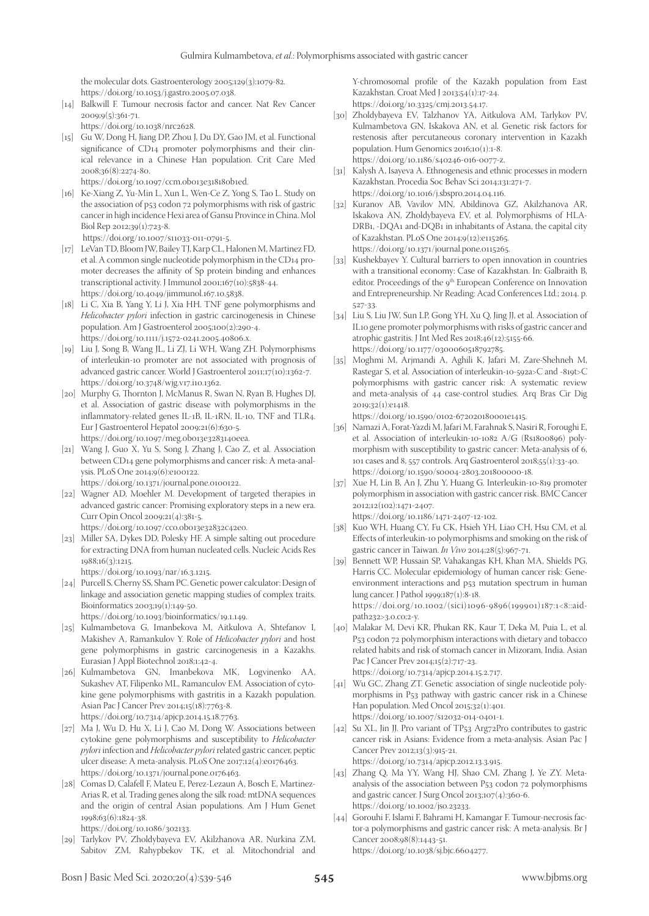the molecular dots. Gastroenterology 2005;129(3):1079-82. https://doi.org/10.1053/j.gastro.2005.07.038.

[14] Balkwill F. Tumour necrosis factor and cancer. Nat Rev Cancer  $2009;9(5):361-71.$ 

https://doi.org/10.1038/nrc2628.

[15] Gu W, Dong H, Jiang DP, Zhou J, Du DY, Gao JM, et al. Functional significance of CD14 promoter polymorphisms and their clinical relevance in a Chinese Han population. Crit Care Med 2008;36(8):2274-80.

https://doi.org/10.1097/ccm.0b013e318180b1ed.

- [16] Ke-Xiang Z, Yu-Min L, Xun L, Wen-Ce Z, Yong S, Tao L. Study on the association of p53 codon 72 polymorphisms with risk of gastric cancer in high incidence Hexi area of Gansu Province in China. Mol Biol Rep 2012;39(1):723-8.
- https://doi.org/10.1007/s11033-011-0791-5. [17] LeVan TD, Bloom JW, Bailey TJ, Karp CL, Halonen M, Martinez FD,
- et al. A common single nucleotide polymorphism in the CD14 promoter decreases the affinity of Sp protein binding and enhances transcriptional activity. J Immunol 2001;167(10):5838-44. https://doi.org/10.4049/jimmunol.167.10.5838.
- [18] Li C, Xia B, Yang Y, Li J, Xia HH. TNF gene polymorphisms and *Helicobacter pylori* infection in gastric carcinogenesis in Chinese population. Am J Gastroenterol 2005;100(2):290-4. https://doi.org/10.1111/j.1572-0241.2005.40806.x.
- [19] Liu J, Song B, Wang JL, Li ZJ, Li WH, Wang ZH. Polymorphisms of interleukin-10 promoter are not associated with prognosis of advanced gastric cancer. World J Gastroenterol 2011;17(10):1362-7. https://doi.org/10.3748/wjg.v17.i10.1362.
- [20] Murphy G, Thornton J, McManus R, Swan N, Ryan B, Hughes DJ, et al. Association of gastric disease with polymorphisms in the inflammatory-related genes IL-1B, IL-1RN, IL-10, TNF and TLR4. Eur J Gastroenterol Hepatol 2009;21(6):630-5. https://doi.org/10.1097/meg.0b013e3283140eea.
- [21] Wang J, Guo X, Yu S, Song J, Zhang J, Cao Z, et al. Association between CD14 gene polymorphisms and cancer risk: A meta-analysis. PLoS One 2014;9(6):e100122.

https://doi.org/10.1371/journal.pone.0100122.

- [22] Wagner AD, Moehler M. Development of targeted therapies in advanced gastric cancer: Promising exploratory steps in a new era. Curr Opin Oncol 2009;21(4):381-5. https://doi.org/10.1097/cco.0b013e32832c42e0.
- [23] Miller SA, Dykes DD, Polesky HF. A simple salting out procedure
- for extracting DNA from human nucleated cells. Nucleic Acids Res 1988;16(3):1215.

https://doi.org/10.1093/nar/16.3.1215.

[24] Purcell S, Cherny SS, Sham PC. Genetic power calculator: Design of linkage and association genetic mapping studies of complex traits. Bioinformatics 2003;19(1):149-50.

https://doi.org/10.1093/bioinformatics/19.1.149.

- [25] Kulmambetova G, Imanbekova M, Aitkulova A, Shtefanov I, Makishev A, Ramankulov Y. Role of *Helicobacter pylori* and host gene polymorphisms in gastric carcinogenesis in a Kazakhs. Eurasian J Appl Biotechnol 2018;1:42-4.
- [26] Kulmambetova GN, Imanbekova MK, Logvinenko AA, Sukashev AT, Filipenko ML, Ramanculov EM. Association of cytokine gene polymorphisms with gastritis in a Kazakh population. Asian Pac J Cancer Prev 2014;15(18):7763-8. https://doi.org/10.7314/apjcp.2014.15.18.7763.
- [27] Ma J, Wu D, Hu X, Li J, Cao M, Dong W. Associations between cytokine gene polymorphisms and susceptibility to *Helicobacter pylori* infection and *Helicobacter pylori* related gastric cancer, peptic ulcer disease: A meta-analysis. PLoS One 2017;12(4):e0176463. https://doi.org/10.1371/journal.pone.0176463.
- [28] Comas D, Calafell F, Mateu E, Perez-Lezaun A, Bosch E, Martinez-Arias R, et al. Trading genes along the silk road: mtDNA sequences and the origin of central Asian populations. Am J Hum Genet 1998;63(6):1824-38.

https://doi.org/10.1086/302133.

[29] Tarlykov PV, Zholdybayeva EV, Akilzhanova AR, Nurkina ZM, Sabitov ZM, Rahypbekov TK, et al. Mitochondrial and Y-chromosomal profile of the Kazakh population from East Kazakhstan. Croat Med J 2013;54(1):17-24. https://doi.org/10.3325/cmj.2013.54.17.

- [30] Zholdybayeva EV, Talzhanov YA, Aitkulova AM, Tarlykov PV, Kulmambetova GN, Iskakova AN, et al. Genetic risk factors for restenosis after percutaneous coronary intervention in Kazakh population. Hum Genomics 2016;10(1):1-8. https://doi.org/10.1186/s40246-016-0077-z.
- [31] Kalysh A, Isayeva A. Ethnogenesis and ethnic processes in modern Kazakhstan. Procedia Soc Behav Sci 2014;131:271-7. https://doi.org/10.1016/j.sbspro.2014.04.116.
- [32] Kuranov AB, Vavilov MN, Abildinova GZ, Akilzhanova AR, Iskakova AN, Zholdybayeva EV, et al. Polymorphisms of HLA-DRB1, -DQA1 and-DQB1 in inhabitants of Astana, the capital city of Kazakhstan. PLoS One 2014;9(12):e115265. https://doi.org/10.1371/journal.pone.0115265.
- [33] Kushekbayev Y. Cultural barriers to open innovation in countries with a transitional economy: Case of Kazakhstan. In: Galbraith B, editor. Proceedings of the 9<sup>th</sup> European Conference on Innovation and Entrepreneurship. Nr Reading: Acad Conferences Ltd.; 2014. p. 527-33.
- [34] Liu S, Liu JW, Sun LP, Gong YH, Xu Q, Jing JJ, et al. Association of IL10 gene promoter polymorphisms with risks of gastric cancer and atrophic gastritis. J Int Med Res 2018;46(12):5155-66. https://doi.org/10.1177/0300060518792785.
- [35] Moghmi M, Arjmandi A, Aghili K, Jafari M, Zare-Shehneh M, Rastegar S, et al. Association of interleukin-10-592a>C and -819t>C polymorphisms with gastric cancer risk: A systematic review and meta-analysis of 44 case-control studies. Arq Bras Cir Dig 2019;32(1):e1418.

https://doi.org/10.1590/0102-672020180001e1415.

- [36] Namazi A, Forat-Yazdi M, Jafari M, Farahnak S, Nasiri R, Foroughi E, et al. Association of interleukin-10-1082 A/G (Rs1800896) polymorphism with susceptibility to gastric cancer: Meta-analysis of 6, 101 cases and 8, 557 controls. Arq Gastroenterol 2018;55(1):33-40. https://doi.org/10.1590/s0004-2803.201800000-18.
- [37] Xue H, Lin B, An J, Zhu Y, Huang G. Interleukin-10-819 promoter polymorphism in association with gastric cancer risk. BMC Cancer 2012;12(102):1471-2407.

https://doi.org/10.1186/1471-2407-12-102.

- [38] Kuo WH, Huang CY, Fu CK, Hsieh YH, Liao CH, Hsu CM, et al. Effects of interleukin-10 polymorphisms and smoking on the risk of gastric cancer in Taiwan. *In Vivo* 2014;28(5):967-71.
- [39] Bennett WP, Hussain SP, Vahakangas KH, Khan MA, Shields PG, Harris CC. Molecular epidemiology of human cancer risk: Geneenvironment interactions and p53 mutation spectrum in human lung cancer. J Pathol 1999;187(1):8-18. https://doi.org/10.1002/(sici)1096-9896(199901)187:1<8::aidpath232>3.0.co;2-y.
- [40] Malakar M, Devi KR, Phukan RK, Kaur T, Deka M, Puia L, et al. P53 codon 72 polymorphism interactions with dietary and tobacco related habits and risk of stomach cancer in Mizoram, India. Asian Pac J Cancer Prev 2014;15(2):717-23. https://doi.org/10.7314/apjcp.2014.15.2.717.

[41] Wu GC, Zhang ZT. Genetic association of single nucleotide polymorphisms in P53 pathway with gastric cancer risk in a Chinese Han population. Med Oncol 2015;32(1):401.

- https://doi.org/10.1007/s12032-014-0401-1. [42] Su XL, Jin JJ. Pro variant of TP53 Arg72Pro contributes to gastric cancer risk in Asians: Evidence from a meta-analysis. Asian Pac J Cancer Prev 2012;13(3):915-21. https://doi.org/10.7314/apjcp.2012.13.3.915.
- [43] Zhang Q, Ma YY, Wang HJ, Shao CM, Zhang J, Ye ZY. Metaanalysis of the association between P53 codon 72 polymorphisms and gastric cancer. J Surg Oncol 2013;107(4):360-6. https://doi.org/10.1002/jso.23233.
- [44] Gorouhi F, Islami F, Bahrami H, Kamangar F. Tumour-necrosis factor-a polymorphisms and gastric cancer risk: A meta-analysis. Br J Cancer 2008;98(8):1443-51. https://doi.org/10.1038/sj.bjc.6604277.